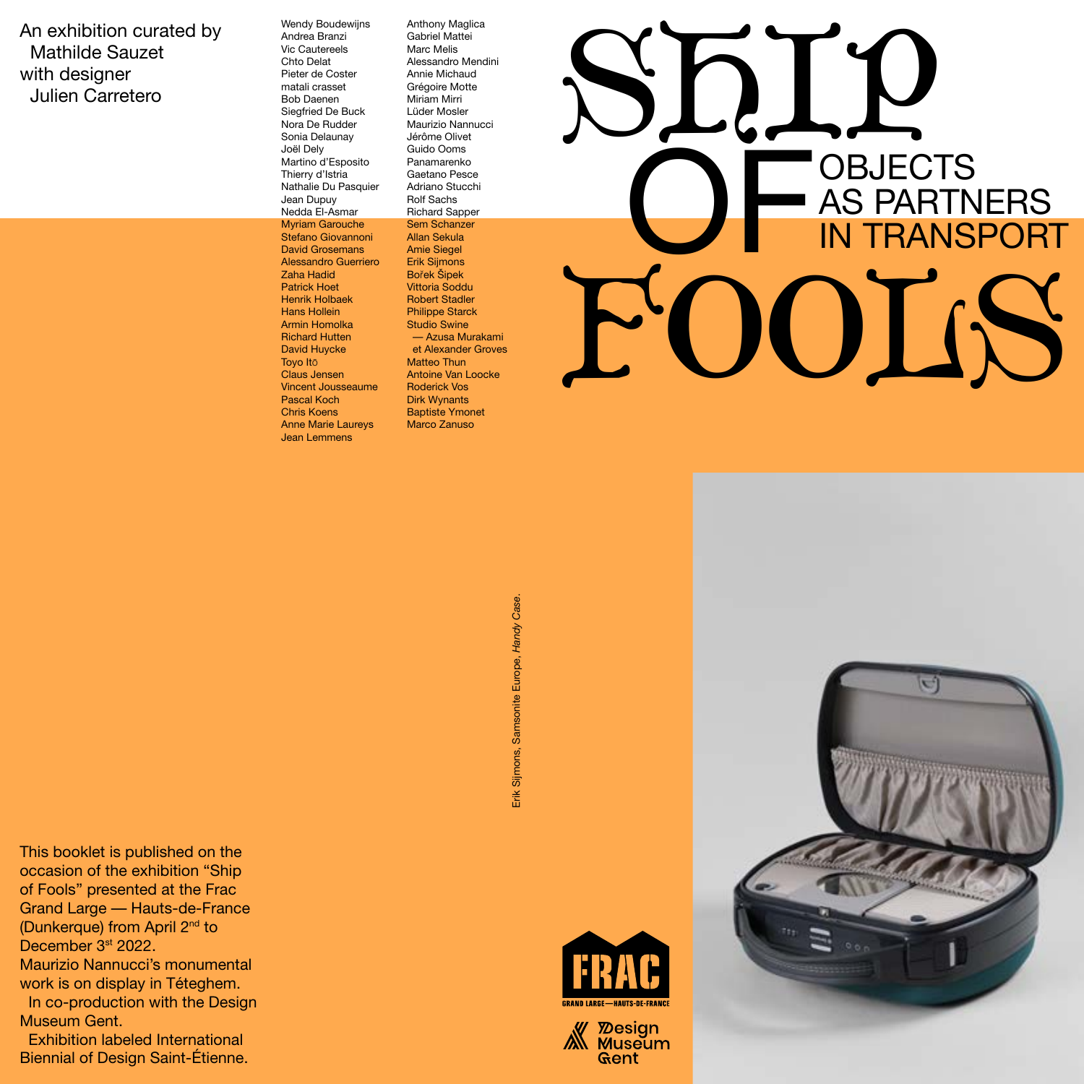An exhibition curated by Mathilde Sauzet with designer Julien Carretero

Wendy Boudewijns Andrea Branzi Vic Cautereels Chto Delat Pieter de Coster matali crasset Bob Daenen Siegfried De Buck Nora De Rudder Sonia Delaunay Joël Dely Martino d'Esposito Thierry d'Istria Nathalie Du Pasquier Jean Dupuy Nedda El-Asmar Myriam Garouche Stefano Giovannoni David Grosemans Alessandro Guerriero Zaha Hadid Patrick Hoet Henrik Holbaek Hans Hollein Armin Homolka Richard Hutten David Huycke Toyo Itō Claus Jensen Vincent Jousseaume Pascal Koch Chris Koens Anne Marie Laureys Jean Lemmens

Anthony Maglica Gabriel Mattei Marc Melis Alessandro Mendini Annie Michaud Grégoire Motte Miriam Mirri Lüder Mosler Maurizio Nannucci Jérôme Olivet Guido Ooms Panamarenko Gaetano Pesce Adriano Stucchi Rolf Sachs Richard Sapper Sem Schanzer Allan Sekula Amie Siegel Erik Sijmons Bořek Šipek Vittoria Soddu Robert Stadler Philippe Starck Studio Swine — Azusa Murakami et Alexander Groves Matteo Thun Antoine Van Loocke Roderick Vos Dirk Wynants Baptiste Ymonet Marco Zanuso



Erik Sijmons, Samsonite Europe, Handy Case. Erik Sijmons, Samsonite Europe, *Handy Case*.







This booklet is published on the occasion of the exhibition "Ship of Fools" presented at the Frac Grand Large — Hauts-de-France (Dunkerque) from April 2nd to December 3<sup>st</sup> 2022. Maurizio Nannucci's monumental work is on display in Téteghem. In co-production with the Design Museum Gent. Exhibition labeled International

Biennial of Design Saint-Étienne.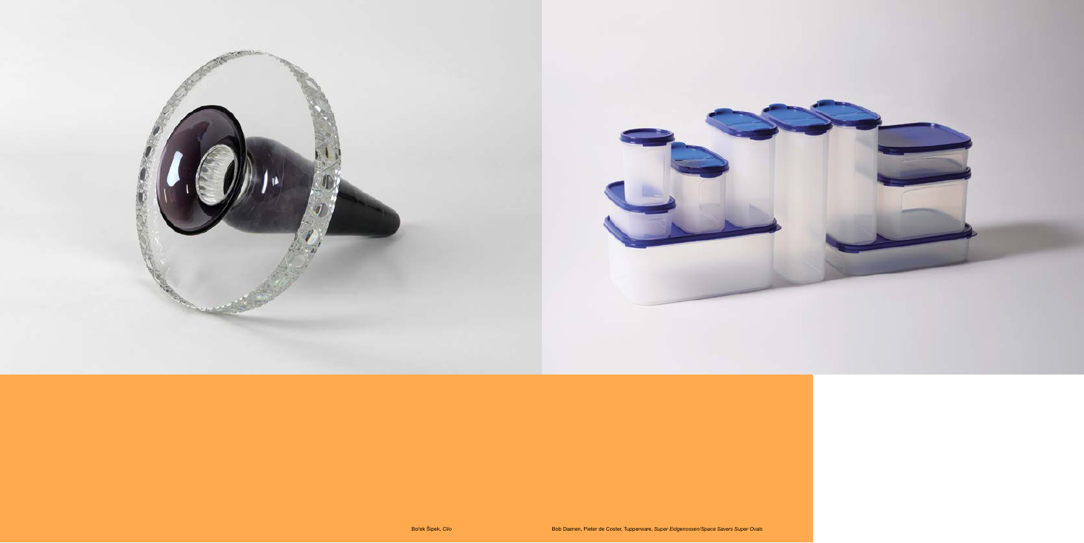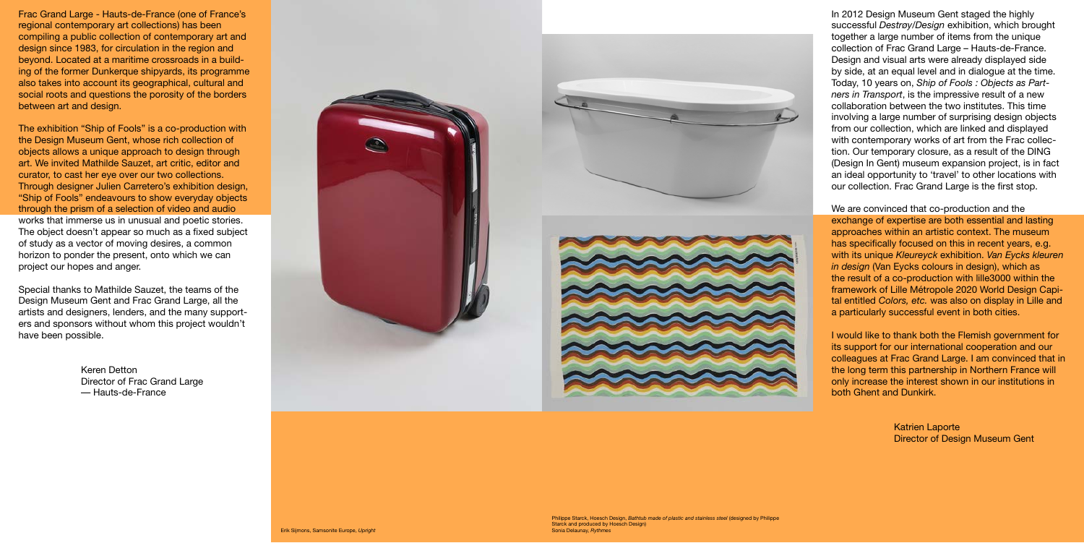Frac Grand Large - Hauts-de-France (one of France's regional contemporary art collections) has been compiling a public collection of contemporary art and design since 1983, for circulation in the region and beyond. Located at a maritime crossroads in a building of the former Dunkerque shipyards, its programme also takes into account its geographical, cultural and social roots and questions the porosity of the borders between art and design.

The exhibition "Ship of Fools" is a co-production with the Design Museum Gent, whose rich collection of objects allows a unique approach to design through art. We invited Mathilde Sauzet, art critic, editor and curator, to cast her eye over our two collections. Through designer Julien Carretero's exhibition design, "Ship of Fools" endeavours to show everyday objects through the prism of a selection of video and audio works that immerse us in unusual and poetic stories. The object doesn't appear so much as a fixed subject of study as a vector of moving desires, a common horizon to ponder the present, onto which we can project our hopes and anger.

Special thanks to Mathilde Sauzet, the teams of the Design Museum Gent and Frac Grand Large, all the artists and designers, lenders, and the many supporters and sponsors without whom this project wouldn't have been possible.

> Keren Detton Director of Frac Grand Large — Hauts-de-France



Philippe Starck, Hoesch Design, *Bathtub made of plastic and stainless steel* (designed by Philippe Starck and produced by Hoesch Design) Sonia Delaunay, *Rythmes*

In 2012 Design Museum Gent staged the highly successful *Destrøy/Design* exhibition, which brought together a large number of items from the unique collection of Frac Grand Large – Hauts-de-France. Design and visual arts were already displayed side by side, at an equal level and in dialogue at the time. Today, 10 years on, *Ship of Fools : Objects as Partners in Transport*, is the impressive result of a new collaboration between the two institutes. This time involving a large number of surprising design objects from our collection, which are linked and displayed with contemporary works of art from the Frac collection. Our temporary closure, as a result of the DING (Design In Gent) museum expansion project, is in fact an ideal opportunity to 'travel' to other locations with our collection. Frac Grand Large is the first stop.

We are convinced that co-production and the exchange of expertise are both essential and lasting approaches within an artistic context. The museum has specifically focused on this in recent years, e.g. with its unique *Kleureyck* exhibition. *Van Eycks kleuren in design* (Van Eycks colours in design), which as the result of a co-production with lille3000 within the framework of Lille Métropole 2020 World Design Capital entitled *Colors, etc.* was also on display in Lille and a particularly successful event in both cities.

I would like to thank both the Flemish government for its support for our international cooperation and our colleagues at Frac Grand Large. I am convinced that in the long term this partnership in Northern France will only increase the interest shown in our institutions in both Ghent and Dunkirk.

> Katrien Laporte Director of Design Museum Gent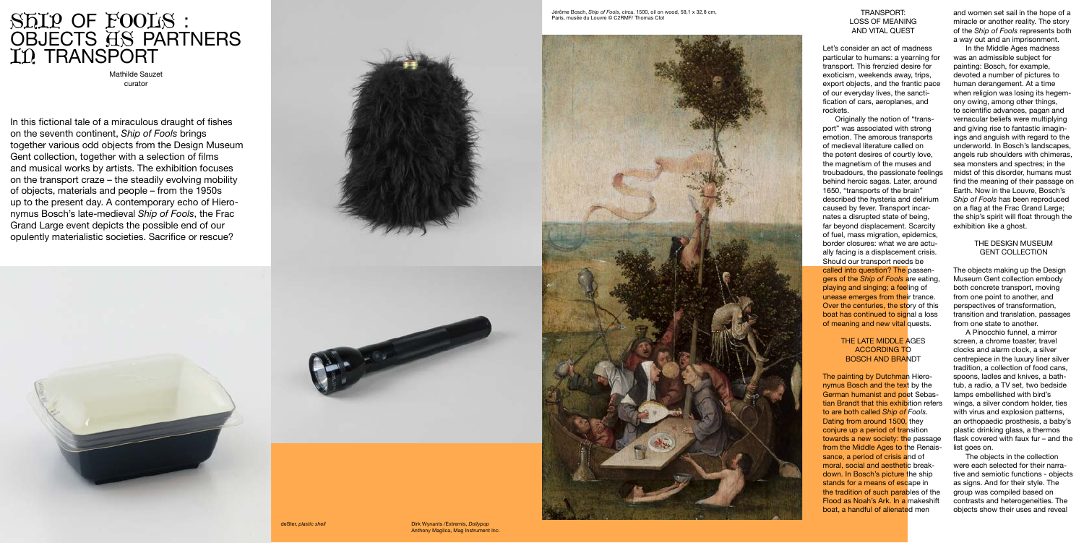In this fictional tale of a miraculous draught of fishes on the seventh continent, *Ship of Fools* brings together various odd objects from the Design Museum Gent collection, together with a selection of films and musical works by artists. The exhibition focuses on the transport craze – the steadily evolving mobility of objects, materials and people – from the 1950s up to the present day. A contemporary echo of Hiero nymus Bosch's late-medieval *Ship of Fools*, the Frac Grand Large event depicts the possible end of our opulently materialistic societies. Sacrifice or rescue?







# SHIP OF FOOLS : OBJECTS HS PARTNERS I<sub>n</sub> Transport

Mathilde Sauzet curator

### TRANSPORT: LOSS OF MEANING AND VITAL QUEST

Let's consider an act of madness particular to humans: a yearning for transport. This frenzied desire for exoticism, weekends away, trips, export objects, and the frantic pace of our everyday lives, the sancti fication of cars, aeroplanes, and rockets.

The painting by Dutchman Hieronymus Bosch and the text by the German humanist and poet Sebas tian Brandt that this exhibition refers to are both called *Ship of Fools*. Dating from around 1500, they conjure up a period of transition towards a new society: the passage from the Middle Ages to the Renaissance, a period of crisis and of moral, social and aesthetic breakdown. In Bosch's picture the ship stands for a means of escape in the tradition of such parables of the Flood as Noah's Ark. In a makeshift boat, a handful of alienated men

In the Middle Ages madness was an admissible subject for painting: Bosch, for example, devoted a number of pictures to human derangement. At a time when religion was losing its hegem ony owing, among other things, to scientific advances, pagan and vernacular beliefs were multiplying and giving rise to fantastic imagin ings and anguish with regard to the underworld. In Bosch's landscapes, angels rub shoulders with chimeras, sea monsters and spectres; in the midst of this disorder, humans must find the meaning of their passage on Earth. Now in the Louvre, Bosch's *Ship of Fools* has been reproduced on a flag at the Frac Grand Large; the ship's spirit will float through the exhibition like a ghost.

Originally the notion of "trans port" was associated with strong emotion. The amorous transports of medieval literature called on the potent desires of courtly love, the magnetism of the muses and troubadours, the passionate feelings behind heroic sagas. Later, around 1650, "transports of the brain" described the hysteria and delirium caused by fever. Transport incarnates a disrupted state of being, far beyond displacement. Scarcity of fuel, mass migration, epidemics, border closures: what we are actu ally facing is a displacement crisis. Should our transport needs be called into question? The passengers of the *Ship of Fools* are eating, playing and singing; a feeling of unease emerges from their trance. Over the centuries, the story of this boat has continued to signal a loss of meaning and new vital quests.

## THE LATE MIDDLE AGES ACCORDING TO BOSCH AND BRANDT

and women set sail in the hope of a miracle or another reality. The story of the *Ship of Fools* represents both a way out and an imprisonment.

# THE DESIGN MUSEUM GENT COLLECTION

The objects making up the Design Museum Gent collection embody both concrete transport, moving from one point to another, and perspectives of transformation, transition and translation, passages from one state to another.

A Pinocchio funnel, a mirror screen, a chrome toaster, travel clocks and alarm clock, a silver centrepiece in the luxury liner silver tradition, a collection of food cans, spoons, ladles and knives, a bath tub, a radio, a TV set, two bedside lamps embellished with bird's wings, a silver condom holder, ties with virus and explosion patterns, an orthopaedic prosthesis, a baby's plastic drinking glass, a thermos flask covered with faux fur – and the list goes on.

The objects in the collection were each selected for their narra tive and semiotic functions - objects as signs. And for their style. The group was compiled based on contrasts and heterogeneities. The objects show their uses and reveal

Jérôme Bosch, *Ship of Fools*, circa. 1500, oil on wood, 58,1 x 32,8 cm, Paris, musée du Louvre © C2RMF/ Thomas Clot



deSter, *plastic shell* Dirk Wynants /Extremis, *Dollypop* Anthony Maglica, Mag Instrument Inc.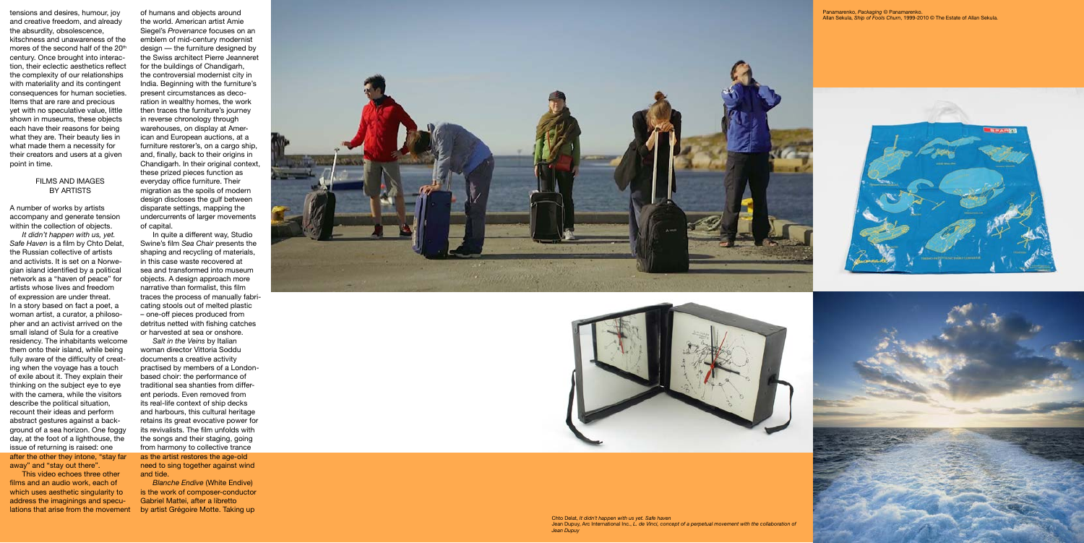tensions and desires, humour, joy and creative freedom, and already the absurdity, obsolescence, kitschness and unawareness of the mores of the second half of the 20<sup>th</sup> century. Once brought into interac tion, their eclectic aesthetics reflect the complexity of our relationships with materiality and its contingent consequences for human societies. Items that are rare and precious yet with no speculative value, little shown in museums, these objects each have their reasons for being what they are. Their beauty lies in what made them a necessity for their creators and users at a given point in time.

#### FILMS AND IMAGES BY ARTISTS

A number of works by artists accompany and generate tension within the collection of objects.

*It didn't happen with us, yet. Safe Haven* is a film by Chto Delat, the Russian collective of artists and activists. It is set on a Norwe gian island identified by a political network as a "haven of peace" for artists whose lives and freedom of expression are under threat. In a story based on fact a poet, a woman artist, a curator, a philoso pher and an activist arrived on the small island of Sula for a creative residency. The inhabitants welcome them onto their island, while being fully aware of the difficulty of creat ing when the voyage has a touch of exile about it. They explain their thinking on the subject eye to eye with the camera, while the visitors describe the political situation, recount their ideas and perform abstract gestures against a back ground of a sea horizon. One foggy day, at the foot of a lighthouse, the issue of returning is raised: one after the other they intone, "stay far away" and "stay out there".

This video echoes three other films and an audio work, each of which uses aesthetic singularity to address the imaginings and specu lations that arise from the movement of humans and objects around the world. American artist Amie Siegel's *Provenance* focuses on an emblem of mid-century modernist design — the furniture designed by the Swiss architect Pierre Jeanneret for the buildings of Chandigarh, the controversial modernist city in India. Beginning with the furniture's present circumstances as deco ration in wealthy homes, the work then traces the furniture's journey in reverse chronology through warehouses, on display at American and European auctions, at a furniture restorer's, on a cargo ship, and, finally, back to their origins in Chandigarh. In their original context, these prized pieces function as everyday office furniture. Their migration as the spoils of modern design discloses the gulf between disparate settings, mapping the undercurrents of larger movements of capital.

In quite a different way, Studio Swine's film *Sea Chair* presents the shaping and recycling of materials, in this case waste recovered at sea and transformed into museum objects. A design approach more narrative than formalist, this film traces the process of manually fabri cating stools out of melted plastic – one-off pieces produced from detritus netted with fishing catches or harvested at sea or onshore.

*Salt in the Veins* by Italian woman director Vittoria Soddu documents a creative activity practised by members of a Londonbased choir: the performance of traditional sea shanties from different periods. Even removed from its real-life context of ship decks and harbours, this cultural heritage retains its great evocative power for its revivalists. The film unfolds with the songs and their staging, going from harmony to collective trance as the artist restores the age-old need to sing together against wind and tide.

*Blanche Endive* (White Endive) is the work of composer-conductor Gabriel Mattei, after a libretto by artist Grégoire Motte. Taking up



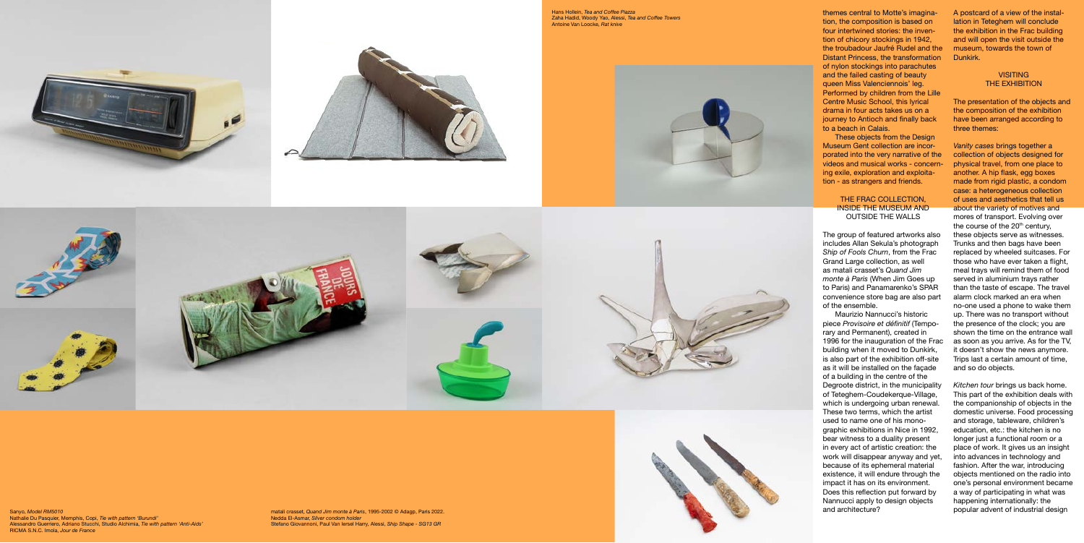themes central to Motte's imagina tion, the composition is based on four intertwined stories: the inven tion of chicory stockings in 1942, the troubadour Jaufré Rudel and the Distant Princess, the transformation of nylon stockings into parachutes and the failed casting of beauty queen Miss Valenciennois' leg. Performed by children from the Lille Centre Music School, this lyrical drama in four acts takes us on a journey to Antioch and finally back to a beach in Calais.

These objects from the Design Museum Gent collection are incorporated into the very narrative of the videos and musical works - concern ing exile, exploration and exploita tion - as strangers and friends.

## THE FRAC COLLECTION, INSIDE THE MUSEUM AND OUTSIDE THE WALLS

The group of featured artworks also includes Allan Sekula's photograph *Ship of Fools Churn*, from the Frac Grand Large collection, as well as matali crasset's *Quand Jim monte à Paris* (When Jim Goes up to Paris) and Panamarenko's SPAR convenience store bag are also part of the ensemble.

## **VISITING** THE EXHIBITION

Maurizio Nannucci's historic piece *Provisoire et définitif* (Tempo rary and Permanent), created in 1996 for the inauguration of the Frac building when it moved to Dunkirk, is also part of the exhibition off-site as it will be installed on the façade of a building in the centre of the Degroote district, in the municipality of Teteghem-Coudekerque-Village, which is undergoing urban renewal. These two terms, which the artist used to name one of his mono graphic exhibitions in Nice in 1992, bear witness to a duality present in every act of artistic creation: the work will disappear anyway and yet, because of its ephemeral material existence, it will endure through the impact it has on its environment. Does this reflection put forward by Nannucci apply to design objects and architecture?

A postcard of a view of the instal lation in Teteghem will conclude the exhibition in the Frac building and will open the visit outside the museum, towards the town of Dunkirk.

The presentation of the objects and the composition of the exhibition have been arranged according to three themes:

*Vanity cases* brings together a collection of objects designed for physical travel, from one place to another. A hip flask, egg boxes made from rigid plastic, a condom case: a heterogeneous collection of uses and aesthetics that tell us about the variety of motives and mores of transport. Evolving over the course of the 20<sup>th</sup> century, these objects serve as witnesses. Trunks and then bags have been replaced by wheeled suitcases. For those who have ever taken a flight, meal trays will remind them of food served in aluminium trays rather than the taste of escape. The travel alarm clock marked an era when no-one used a phone to wake them up. There was no transport without the presence of the clock; you are shown the time on the entrance wall as soon as you arrive. As for the TV, it doesn't show the news anymore. Trips last a certain amount of time, and so do objects.

*Kitchen tour* brings us back home. This part of the exhibition deals with the companionship of objects in the domestic universe. Food processing and storage, tableware, children's education, etc.: the kitchen is no longer just a functional room or a place of work. It gives us an insight into advances in technology and fashion. After the war, introducing objects mentioned on the radio into one's personal environment became a way of participating in what was happening internationally: the popular advent of industrial design

Hans Hollein, *Tea and Coffee Piazza* Zaha Hadid, Woody Yao, Alessi, *Tea and Coffee Towers* Antoine Van Loocke, *Rat knive*











Sanyo, *Model RM5010* Nathalie Du Pasquier, Memphis, Copi, *Tie with pattern 'Burundi'* Alessandro Guerriero, Adriano Stucchi, Studio Alchimia, *Tie with pattern 'Anti-Aids'* RICMA S.N.C. Imola, *Jour de France*

matali crasset, *Quand Jim monte à Paris*, 1995-2002 © Adagp, Paris 2022. Nedda El-Asmar, *Silver condom holder* Stefano Giovannoni, Paul Van Iersel Harry, Alessi, *Ship Shape - SG13 GR*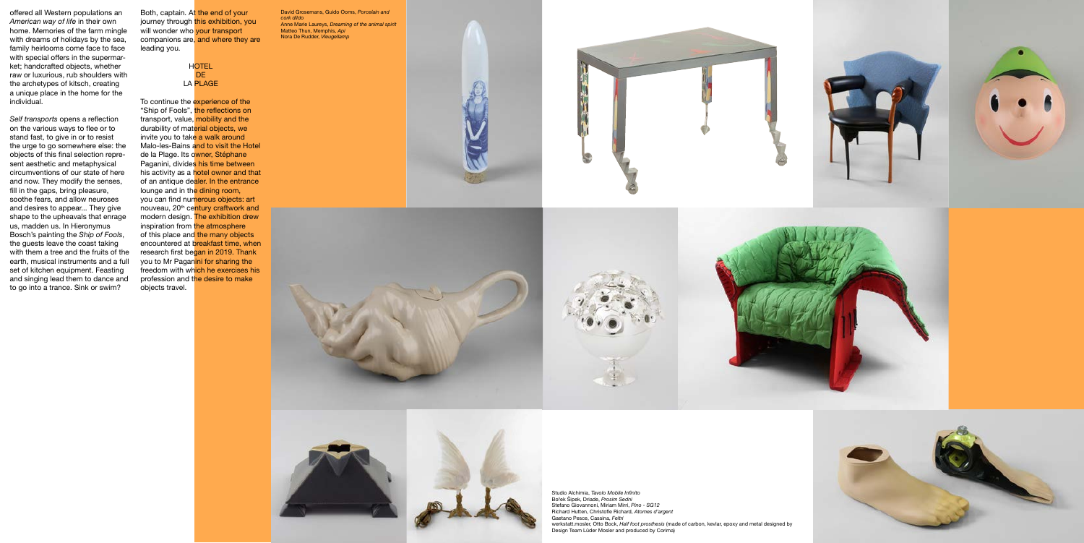offered all Western populations an *American way of life* in their own home. Memories of the farm mingle with dreams of holidays by the sea, family heirlooms come face to face with special offers in the supermarket; handcrafted objects, whether raw or luxurious, rub shoulders with the archetypes of kitsch, creating a unique place in the home for the individual.

**HOTEL** DE. LA PLAGE

*Self transports* opens a reflection on the various ways to flee or to stand fast, to give in or to resist the urge to go somewhere else: the objects of this final selection represent aesthetic and metaphysical circumventions of our state of here and now. They modify the senses, fill in the gaps, bring pleasure, soothe fears, and allow neuroses and desires to appear... They give shape to the upheavals that enrage us, madden us. In Hieronymus Bosch's painting the *Ship of Fools*, the guests leave the coast taking with them a tree and the fruits of the earth, musical instruments and a full set of kitchen equipment. Feasting and singing lead them to dance and to go into a trance. Sink or swim?

To continue the experience of the "Ship of Fools", the reflections on transport, value, mobility and the durability of material objects, we invite you to take a walk around Malo-les-Bains and to visit the Hotel de la Plage. Its owner, Stéphane Paganini, divides his time between his activity as a hotel owner and that of an antique dealer. In the entrance lounge and in the dining room, you can find numerous objects: art nouveau, 20<sup>th</sup> century craftwork and modern design. The exhibition drew inspiration from the atmosphere of this place and the many objects encountered at breakfast time, when research first began in 2019. Thank you to Mr Paganini for sharing the freedom with which he exercises his profession and the desire to make objects travel.

Both, captain. At the end of your journey through this exhibition, you will wonder who your transport companions are, and where they are leading you.

> Studio Alchimia, *Tavolo Mobile Infinito* Bořek Šipek, Driade, *Prosim Sedni* Stefano Giovannoni, Miriam Mirri, *Pino - SG12* Richard Hutten, Christofle Richard, *Atomes d'argent* Gaetano Pesce, Cassina, *Feltri* werkstatt.mosler, Otto Bock, *Half foot prosthesis* (made of carbon, kevlar, epoxy and metal designed by Design Team Lüder Mosler and produced by Corima)



David Grosemans, Guido Ooms, *Porcelain and cork dildo* Anne Marie Laureys, *Dreaming of the animal spirit* Matteo Thun, Memphis, *Api* Nora De Rudder, *Vleugellamp*









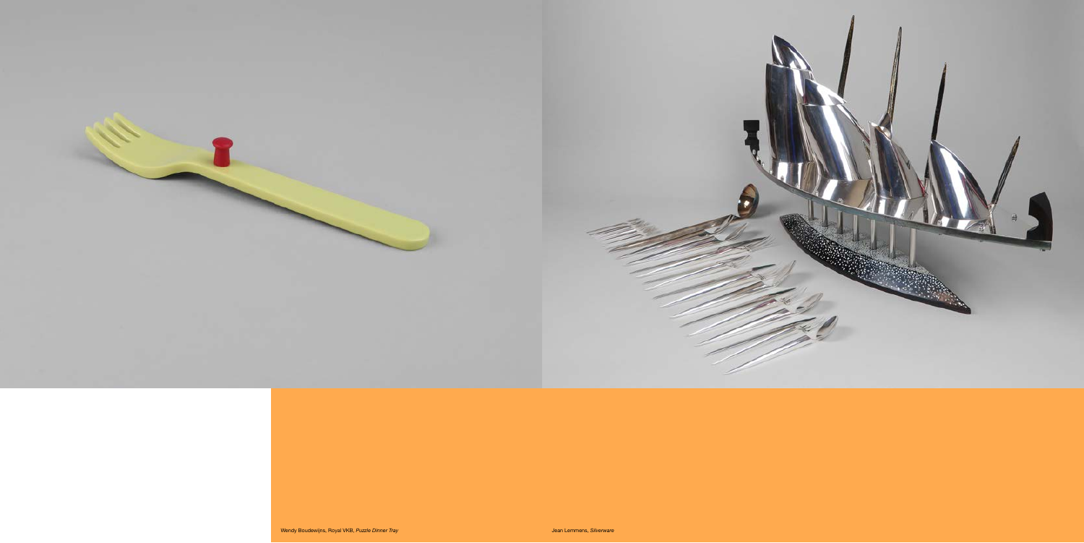